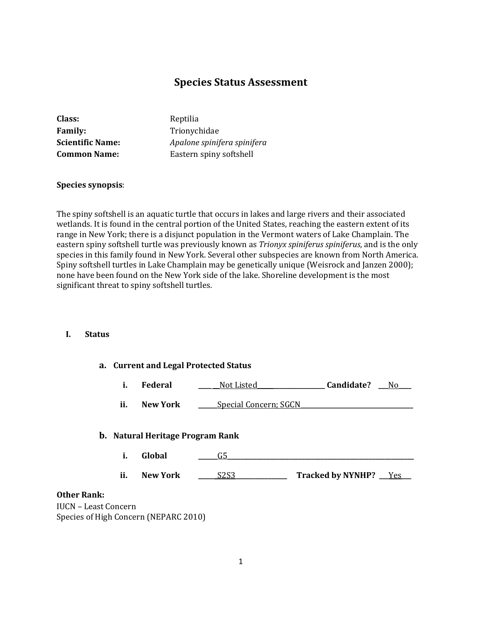# **Species Status Assessment**

| <b>Class:</b>           | Reptilia                    |
|-------------------------|-----------------------------|
| <b>Family:</b>          | Trionychidae                |
| <b>Scientific Name:</b> | Apalone spinifera spinifera |
| <b>Common Name:</b>     | Eastern spiny softshell     |
|                         |                             |

#### **Species synopsis**:

The spiny softshell is an aquatic turtle that occurs in lakes and large rivers and their associated wetlands. It is found in the central portion of the United States, reaching the eastern extent of its range in New York; there is a disjunct population in the Vermont waters of Lake Champlain. The eastern spiny softshell turtle was previously known as *Trionyx spiniferus spiniferus*, and is the only species in this family found in New York. Several other subspecies are known from North America. Spiny softshell turtles in Lake Champlain may be genetically unique (Weisrock and Janzen 2000); none have been found on the New York side of the lake. Shoreline development is the most significant threat to spiny softshell turtles.

## **I. Status**

| a. Current and Legal Protected Status                   |                               |                          |  |
|---------------------------------------------------------|-------------------------------|--------------------------|--|
| i.<br>Federal                                           | Not Listed                    | Candidate?<br>No.        |  |
| ii.<br><b>New York</b>                                  | <b>Special Concern; SGCN</b>  |                          |  |
| <b>b.</b> Natural Heritage Program Rank<br>i.<br>Global | G5                            |                          |  |
| ii.<br><b>New York</b>                                  | S <sub>2</sub> S <sub>3</sub> | Tracked by NYNHP? __ Yes |  |
| <b>Other Rank:</b><br><b>IUCN - Least Concern</b>       |                               |                          |  |

**IUCN** 

Species of High Concern (NEPARC 2010)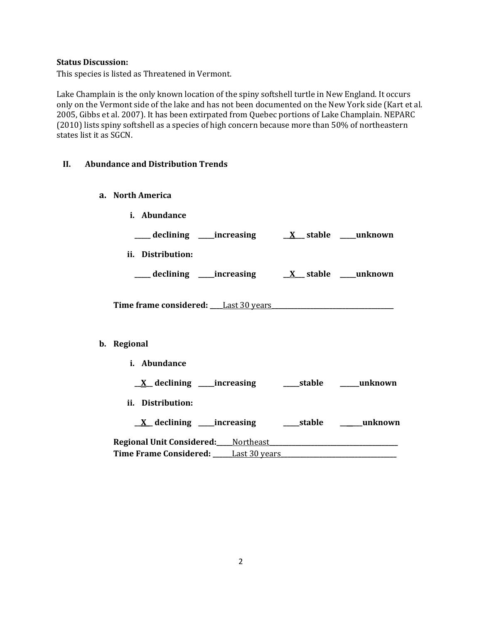#### **Status Discussion:**

This species is listed as Threatened in Vermont.

Lake Champlain is the only known location of the spiny softshell turtle in New England. It occurs only on the Vermont side of the lake and has not been documented on the New York side (Kart et al. 2005, Gibbs et al. 2007). It has been extirpated from Quebec portions of Lake Champlain. NEPARC (2010) lists spiny softshell as a species of high concern because more than 50% of northeastern states list it as SGCN.

## **II. Abundance and Distribution Trends**

- **a. North America**
- **i. Abundance \_\_\_\_\_ declining \_\_\_\_\_increasing \_\_X\_\_\_ stable \_\_\_\_\_unknown ii. Distribution: \_\_\_\_\_ declining \_\_\_\_\_increasing \_\_X\_\_\_ stable \_\_\_\_\_unknown Time frame considered: \_\_\_\_**Last 30 years**\_\_\_\_\_\_\_\_\_\_\_\_\_\_\_\_\_\_\_\_\_\_\_\_\_\_\_\_\_\_\_\_\_\_\_\_\_\_ b. Regional i. Abundance \_\_X\_\_ declining \_\_\_\_\_increasing \_\_\_\_\_stable \_\_\_\_\_\_unknown ii. Distribution: \_\_X\_\_ declining \_\_\_\_\_increasing \_\_\_\_\_stable \_\_\_\_\_\_\_unknown**

**Regional Unit Considered:\_\_\_\_\_**Northeast**\_\_\_\_\_\_\_\_\_\_\_\_\_\_\_\_\_\_\_\_\_\_\_\_\_\_\_\_\_\_\_\_\_\_\_\_\_\_\_\_ Time Frame Considered: \_\_\_\_\_\_**Last 30 years**\_\_\_\_\_\_\_\_\_\_\_\_\_\_\_\_\_\_\_\_\_\_\_\_\_\_\_\_\_\_\_\_\_\_\_\_**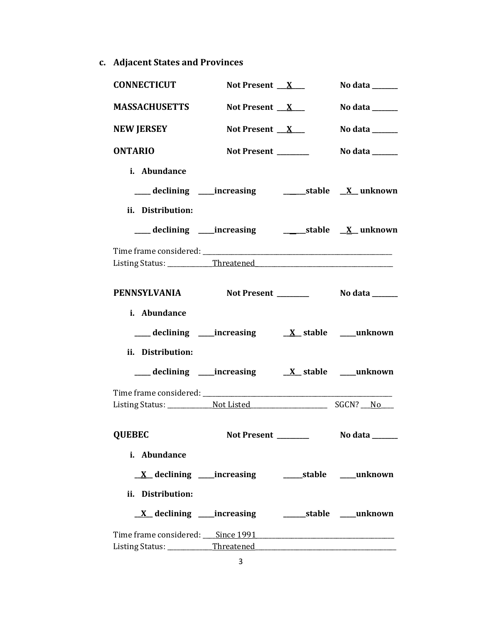**c. Adjacent States and Provinces**

| <b>CONNECTICUT</b>                                                | Not Present $X$      | No data ______                      |
|-------------------------------------------------------------------|----------------------|-------------------------------------|
| <b>MASSACHUSETTS</b>                                              | Not Present $X$      | No data $\_\_\_\_\_\_\_\_\_\_\_\_\$ |
| <b>NEW JERSEY</b>                                                 | Not Present $X$      | No data ______                      |
| <b>ONTARIO</b>                                                    | Not Present ________ | No data $\_\_\_\_\_\_\_\_\_\_\_\_\$ |
| i. Abundance                                                      |                      |                                     |
|                                                                   |                      |                                     |
| ii. Distribution:                                                 |                      |                                     |
| ___ declining ____increasing ____________stable <u>X</u> _unknown |                      |                                     |
|                                                                   |                      |                                     |
|                                                                   |                      |                                     |
| PENNSYLVANIA Not Present No data ______                           |                      |                                     |
| i. Abundance                                                      |                      |                                     |
|                                                                   |                      |                                     |
| ii. Distribution:                                                 |                      |                                     |
|                                                                   |                      |                                     |
|                                                                   |                      |                                     |
| <b>QUEBEC</b>                                                     |                      |                                     |
| i. Abundance                                                      |                      |                                     |
|                                                                   |                      |                                     |
| ii. Distribution:                                                 |                      |                                     |
|                                                                   |                      |                                     |
|                                                                   |                      |                                     |
|                                                                   |                      |                                     |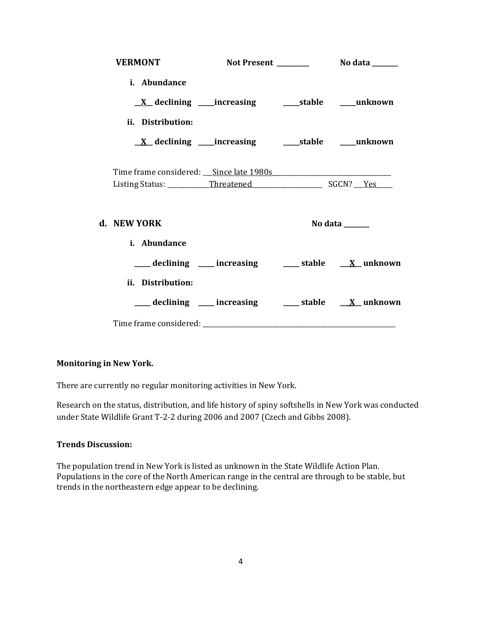| <b>VERMONT</b>    |                                                              |                |
|-------------------|--------------------------------------------------------------|----------------|
| i. Abundance      |                                                              |                |
|                   |                                                              |                |
| ii. Distribution: |                                                              |                |
|                   | <u>X</u> declining ____increasing _______stable _____unknown |                |
|                   |                                                              |                |
| d. NEW YORK       |                                                              | No data ______ |
| i. Abundance      |                                                              |                |
|                   | ___ declining ___ increasing ___ stable __ X_unknown         |                |
| ii. Distribution: |                                                              |                |
|                   | ___ declining ___ increasing ___ stable __ X_unknown         |                |
|                   |                                                              |                |

## **Monitoring in New York.**

There are currently no regular monitoring activities in New York.

Research on the status, distribution, and life history of spiny softshells in New York was conducted under State Wildlife Grant T-2-2 during 2006 and 2007 (Czech and Gibbs 2008).

## **Trends Discussion:**

The population trend in New York is listed as unknown in the State Wildlife Action Plan. Populations in the core of the North American range in the central are through to be stable, but trends in the northeastern edge appear to be declining.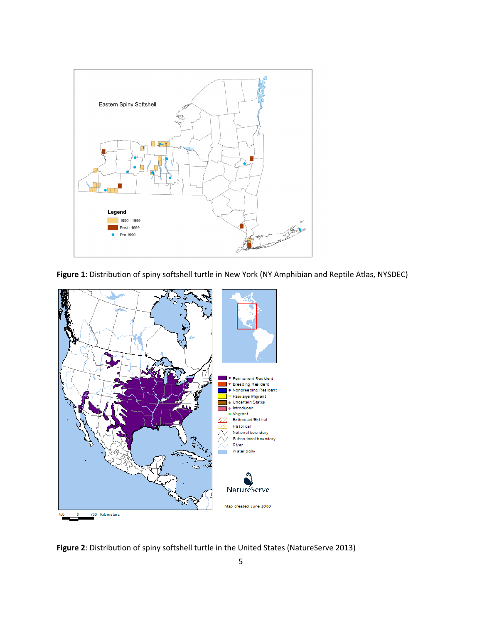

**Figure 1**: Distribution of spiny softshell turtle in New York (NY Amphibian and Reptile Atlas, NYSDEC)



**Figure 2**: Distribution of spiny softshell turtle in the United States (NatureServe 2013)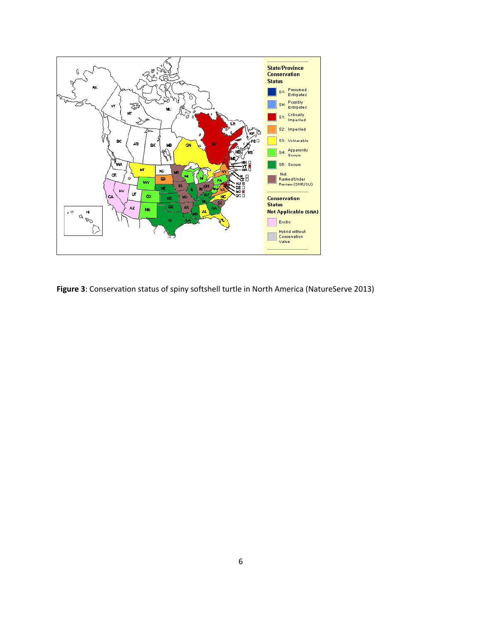

**Figure 3**: Conservation status of spiny softshell turtle in North America (NatureServe 2013)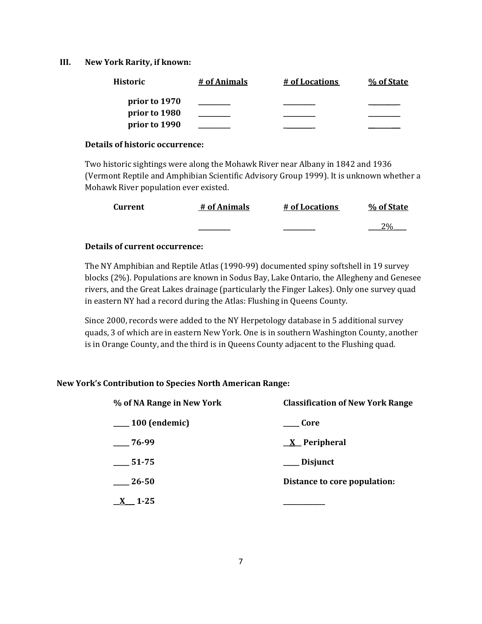#### **III. New York Rarity, if known:**

| <b>Historic</b> | # of Animals | # of Locations | % of State |
|-----------------|--------------|----------------|------------|
| prior to 1970   |              |                |            |
| prior to 1980   |              |                |            |
| prior to 1990   |              |                |            |

#### **Details of historic occurrence:**

Two historic sightings were along the Mohawk River near Albany in 1842 and 1936 (Vermont Reptile and Amphibian Scientific Advisory Group 1999). It is unknown whether a Mohawk River population ever existed.

| Current | # of Animals | # of Locations | % of State      |
|---------|--------------|----------------|-----------------|
|         |              |                | 20 <sub>6</sub> |

## **Details of current occurrence:**

The NY Amphibian and Reptile Atlas (1990-99) documented spiny softshell in 19 survey blocks (2%). Populations are known in Sodus Bay, Lake Ontario, the Allegheny and Genesee rivers, and the Great Lakes drainage (particularly the Finger Lakes). Only one survey quad in eastern NY had a record during the Atlas: Flushing in Queens County.

Since 2000, records were added to the NY Herpetology database in 5 additional survey quads, 3 of which are in eastern New York. One is in southern Washington County, another is in Orange County, and the third is in Queens County adjacent to the Flushing quad.

## **New York's Contribution to Species North American Range:**

| % of NA Range in New York | <b>Classification of New York Range</b> |
|---------------------------|-----------------------------------------|
| $\frac{100}{2}$ (endemic) | <b>Core</b>                             |
| $-76-99$                  | $X$ Peripheral                          |
| $-51-75$                  | ____ Disjunct                           |
| $-26-50$                  | Distance to core population:            |
| $1 - 25$                  |                                         |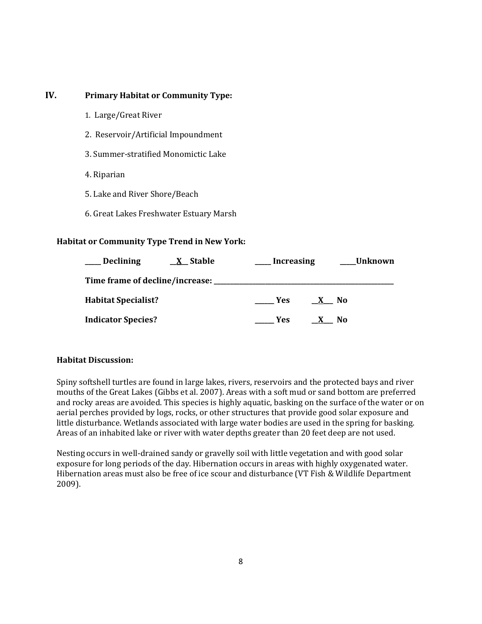## **IV. Primary Habitat or Community Type:**

- 1. Large/Great River
- 2. Reservoir/Artificial Impoundment
- 3. Summer-stratified Monomictic Lake
- 4. Riparian
- 5. Lake and River Shore/Beach
- 6. Great Lakes Freshwater Estuary Marsh

## **Habitat or Community Type Trend in New York:**

| ___ Declining                       | <u>X</u> Stable | <b>Increasing</b> |              | <b>Unknown</b> |
|-------------------------------------|-----------------|-------------------|--------------|----------------|
| Time frame of decline/increase: ___ |                 |                   |              |                |
| <b>Habitat Specialist?</b>          |                 | <b>Example SE</b> | $\mathbf{X}$ | No.            |
| <b>Indicator Species?</b>           |                 | Yes.              |              | No             |

## **Habitat Discussion:**

Spiny softshell turtles are found in large lakes, rivers, reservoirs and the protected bays and river mouths of the Great Lakes (Gibbs et al. 2007). Areas with a soft mud or sand bottom are preferred and rocky areas are avoided. This species is highly aquatic, basking on the surface of the water or on aerial perches provided by logs, rocks, or other structures that provide good solar exposure and little disturbance. Wetlands associated with large water bodies are used in the spring for basking. Areas of an inhabited lake or river with water depths greater than 20 feet deep are not used.

Nesting occurs in well-drained sandy or gravelly soil with little vegetation and with good solar exposure for long periods of the day. Hibernation occurs in areas with highly oxygenated water. Hibernation areas must also be free of ice scour and disturbance (VT Fish & Wildlife Department 2009).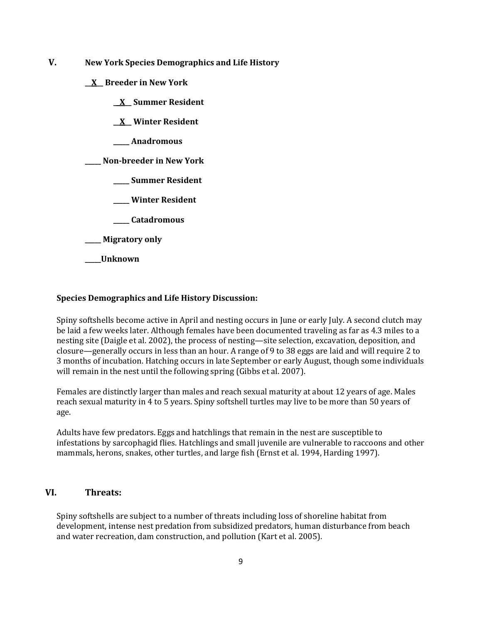- **V. New York Species Demographics and Life History**
	- **\_\_X\_\_ Breeder in New York**
		- **\_\_X\_\_ Summer Resident**
		- **\_\_X\_\_ Winter Resident**
		- **\_\_\_\_\_ Anadromous**

**\_\_\_\_\_ Non-breeder in New York**

- **\_\_\_\_\_ Summer Resident**
- **\_\_\_\_\_ Winter Resident**
- **\_\_\_\_\_ Catadromous**
- **\_\_\_\_\_ Migratory only**
- **\_\_\_\_\_Unknown**

#### **Species Demographics and Life History Discussion:**

Spiny softshells become active in April and nesting occurs in June or early July. A second clutch may be laid a few weeks later. Although females have been documented traveling as far as 4.3 miles to a nesting site (Daigle et al. 2002), the process of nesting—site selection, excavation, deposition, and closure—generally occurs in less than an hour. A range of 9 to 38 eggs are laid and will require 2 to 3 months of incubation. Hatching occurs in late September or early August, though some individuals will remain in the nest until the following spring (Gibbs et al. 2007).

Females are distinctly larger than males and reach sexual maturity at about 12 years of age. Males reach sexual maturity in 4 to 5 years. Spiny softshell turtles may live to be more than 50 years of age.

Adults have few predators. Eggs and hatchlings that remain in the nest are susceptible to infestations by sarcophagid flies. Hatchlings and small juvenile are vulnerable to raccoons and other mammals, herons, snakes, other turtles, and large fish (Ernst et al. 1994, Harding 1997).

#### **VI. Threats:**

Spiny softshells are subject to a number of threats including loss of shoreline habitat from development, intense nest predation from subsidized predators, human disturbance from beach and water recreation, dam construction, and pollution (Kart et al. 2005).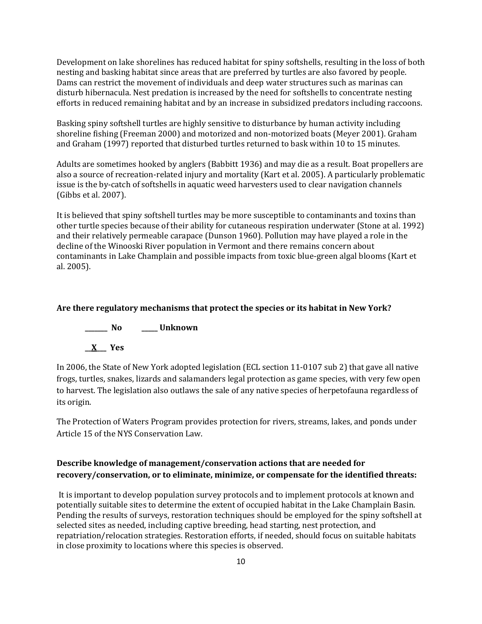Development on lake shorelines has reduced habitat for spiny softshells, resulting in the loss of both nesting and basking habitat since areas that are preferred by turtles are also favored by people. Dams can restrict the movement of individuals and deep water structures such as marinas can disturb hibernacula. Nest predation is increased by the need for softshells to concentrate nesting efforts in reduced remaining habitat and by an increase in subsidized predators including raccoons.

Basking spiny softshell turtles are highly sensitive to disturbance by human activity including shoreline fishing (Freeman 2000) and motorized and non-motorized boats (Meyer 2001). Graham and Graham (1997) reported that disturbed turtles returned to bask within 10 to 15 minutes.

Adults are sometimes hooked by anglers (Babbitt 1936) and may die as a result. Boat propellers are also a source of recreation-related injury and mortality (Kart et al. 2005). A particularly problematic issue is the by-catch of softshells in aquatic weed harvesters used to clear navigation channels (Gibbs et al. 2007).

It is believed that spiny softshell turtles may be more susceptible to contaminants and toxins than other turtle species because of their ability for cutaneous respiration underwater (Stone at al. 1992) and their relatively permeable carapace (Dunson 1960). Pollution may have played a role in the decline of the Winooski River population in Vermont and there remains concern about contaminants in Lake Champlain and possible impacts from toxic blue-green algal blooms (Kart et al. 2005).

## **Are there regulatory mechanisms that protect the species or its habitat in New York?**



In 2006, the State of New York adopted legislation (ECL section 11-0107 sub 2) that gave all native frogs, turtles, snakes, lizards and salamanders legal protection as game species, with very few open to harvest. The legislation also outlaws the sale of any native species of herpetofauna regardless of its origin.

The Protection of Waters Program provides protection for rivers, streams, lakes, and ponds under Article 15 of the NYS Conservation Law.

## **Describe knowledge of management/conservation actions that are needed for recovery/conservation, or to eliminate, minimize, or compensate for the identified threats:**

It is important to develop population survey protocols and to implement protocols at known and potentially suitable sites to determine the extent of occupied habitat in the Lake Champlain Basin. Pending the results of surveys, restoration techniques should be employed for the spiny softshell at selected sites as needed, including captive breeding, head starting, nest protection, and repatriation/relocation strategies. Restoration efforts, if needed, should focus on suitable habitats in close proximity to locations where this species is observed.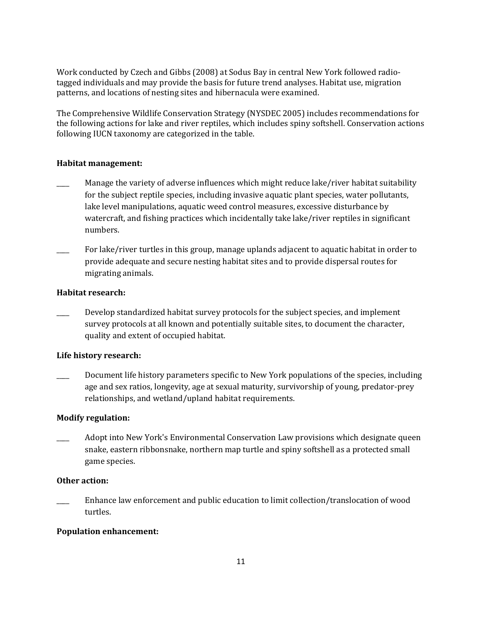Work conducted by Czech and Gibbs (2008) at Sodus Bay in central New York followed radiotagged individuals and may provide the basis for future trend analyses. Habitat use, migration patterns, and locations of nesting sites and hibernacula were examined.

The Comprehensive Wildlife Conservation Strategy (NYSDEC 2005) includes recommendations for the following actions for lake and river reptiles, which includes spiny softshell. Conservation actions following IUCN taxonomy are categorized in the table.

#### **Habitat management:**

- Manage the variety of adverse influences which might reduce lake/river habitat suitability for the subject reptile species, including invasive aquatic plant species, water pollutants, lake level manipulations, aquatic weed control measures, excessive disturbance by watercraft, and fishing practices which incidentally take lake/river reptiles in significant numbers.
- For lake/river turtles in this group, manage uplands adjacent to aquatic habitat in order to provide adequate and secure nesting habitat sites and to provide dispersal routes for migrating animals.

#### **Habitat research:**

Develop standardized habitat survey protocols for the subject species, and implement survey protocols at all known and potentially suitable sites, to document the character, quality and extent of occupied habitat.

## **Life history research:**

Document life history parameters specific to New York populations of the species, including age and sex ratios, longevity, age at sexual maturity, survivorship of young, predator-prey relationships, and wetland/upland habitat requirements.

#### **Modify regulation:**

\_\_\_\_ Adopt into New York's Environmental Conservation Law provisions which designate queen snake, eastern ribbonsnake, northern map turtle and spiny softshell as a protected small game species.

## **Other action:**

\_\_\_\_ Enhance law enforcement and public education to limit collection/translocation of wood turtles.

## **Population enhancement:**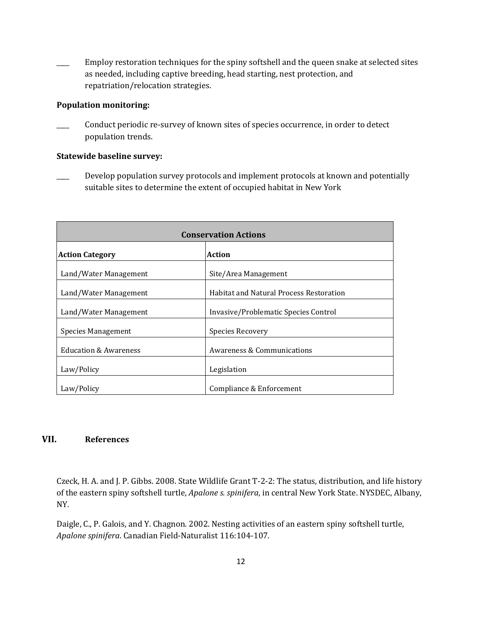Employ restoration techniques for the spiny softshell and the queen snake at selected sites as needed, including captive breeding, head starting, nest protection, and repatriation/relocation strategies.

#### **Population monitoring:**

Conduct periodic re-survey of known sites of species occurrence, in order to detect population trends.

### **Statewide baseline survey:**

Develop population survey protocols and implement protocols at known and potentially suitable sites to determine the extent of occupied habitat in New York

| <b>Conservation Actions</b>      |                                                |  |
|----------------------------------|------------------------------------------------|--|
| <b>Action Category</b>           | Action                                         |  |
| Land/Water Management            | Site/Area Management                           |  |
| Land/Water Management            | <b>Habitat and Natural Process Restoration</b> |  |
| Land/Water Management            | Invasive/Problematic Species Control           |  |
| Species Management               | <b>Species Recovery</b>                        |  |
| <b>Education &amp; Awareness</b> | Awareness & Communications                     |  |
| Law/Policy                       | Legislation                                    |  |
| Law/Policy                       | Compliance & Enforcement                       |  |

## **VII. References**

Czeck, H. A. and J. P. Gibbs. 2008. State Wildlife Grant T-2-2: The status, distribution, and life history of the eastern spiny softshell turtle, *Apalone s. spinifera*, in central New York State. NYSDEC, Albany, NY.

Daigle, C., P. Galois, and Y. Chagnon. 2002. Nesting activities of an eastern spiny softshell turtle, *Apalone spinifera*. Canadian Field-Naturalist 116:104-107.